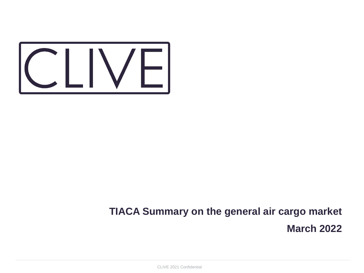

## **TIACA Summary on the general air cargo market March 2022**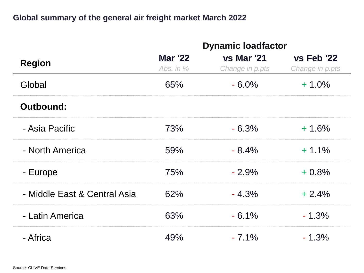## **Global summary of the general air freight market March 2022**

|                              | <b>Dynamic loadfactor</b>     |                                      |                               |
|------------------------------|-------------------------------|--------------------------------------|-------------------------------|
| <b>Region</b>                | <b>Mar '22</b><br>Abs. in $%$ | <b>vs Mar '21</b><br>Change in p.pts | vs Feb '22<br>Change in p.pts |
| Global                       | 65%                           | $-6.0\%$                             | $+1.0\%$                      |
| Outbound:                    |                               |                                      |                               |
| - Asia Pacific               | 73%                           | $-6.3%$                              | $+1.6%$                       |
| - North America              | 59%                           | $-8.4%$                              | $+1.1%$                       |
| - Europe                     | 75%                           | $-2.9%$                              | $+0.8%$                       |
| - Middle East & Central Asia | 62%                           | $-4.3%$                              | $+2.4%$                       |
| - Latin America              | 63%                           | $-6.1%$                              | $-1.3%$                       |
| - Africa                     | 49%                           | $-7.1\%$                             | $-1.3%$                       |